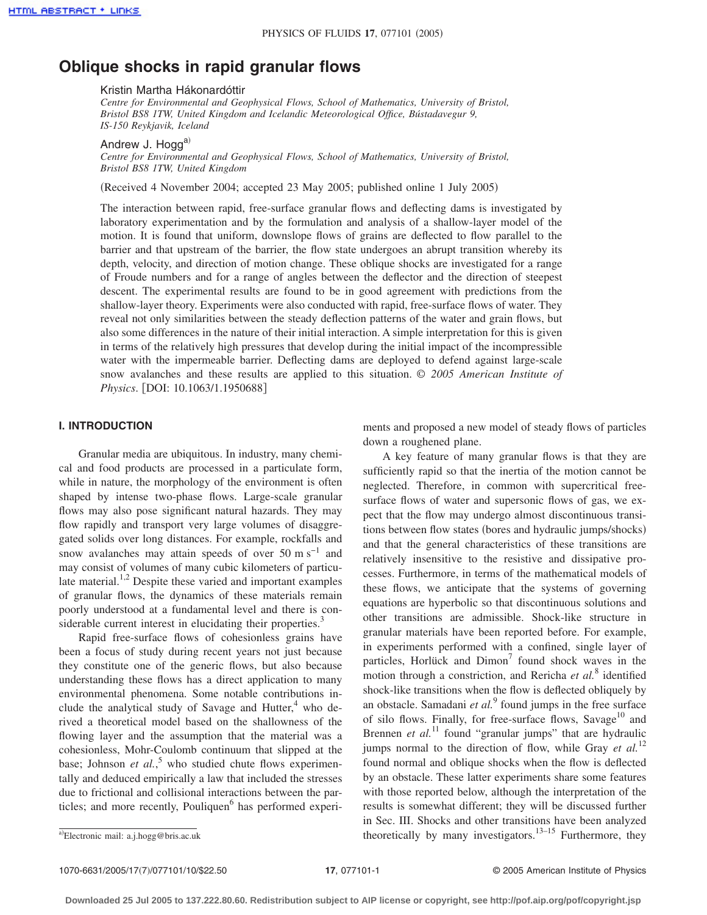# **Oblique shocks in rapid granular flows**

### Kristin Martha Hákonardóttir

*Centre for Environmental and Geophysical Flows, School of Mathematics, University of Bristol, Bristol BS8 1TW, United Kingdom and Icelandic Meteorological Office, Bústadavegur 9, IS-150 Reykjavik, Iceland*

Andrew J. Hogga)

*Centre for Environmental and Geophysical Flows, School of Mathematics, University of Bristol, Bristol BS8 1TW, United Kingdom*

(Received 4 November 2004; accepted 23 May 2005; published online 1 July 2005)

The interaction between rapid, free-surface granular flows and deflecting dams is investigated by laboratory experimentation and by the formulation and analysis of a shallow-layer model of the motion. It is found that uniform, downslope flows of grains are deflected to flow parallel to the barrier and that upstream of the barrier, the flow state undergoes an abrupt transition whereby its depth, velocity, and direction of motion change. These oblique shocks are investigated for a range of Froude numbers and for a range of angles between the deflector and the direction of steepest descent. The experimental results are found to be in good agreement with predictions from the shallow-layer theory. Experiments were also conducted with rapid, free-surface flows of water. They reveal not only similarities between the steady deflection patterns of the water and grain flows, but also some differences in the nature of their initial interaction. A simple interpretation for this is given in terms of the relatively high pressures that develop during the initial impact of the incompressible water with the impermeable barrier. Deflecting dams are deployed to defend against large-scale snow avalanches and these results are applied to this situation. © *2005 American Institute of Physics*. [DOI: 10.1063/1.1950688]

## **I. INTRODUCTION**

Granular media are ubiquitous. In industry, many chemical and food products are processed in a particulate form, while in nature, the morphology of the environment is often shaped by intense two-phase flows. Large-scale granular flows may also pose significant natural hazards. They may flow rapidly and transport very large volumes of disaggregated solids over long distances. For example, rockfalls and snow avalanches may attain speeds of over 50 m s<sup>-1</sup> and may consist of volumes of many cubic kilometers of particulate material.<sup>1,2</sup> Despite these varied and important examples of granular flows, the dynamics of these materials remain poorly understood at a fundamental level and there is considerable current interest in elucidating their properties. $3$ 

Rapid free-surface flows of cohesionless grains have been a focus of study during recent years not just because they constitute one of the generic flows, but also because understanding these flows has a direct application to many environmental phenomena. Some notable contributions include the analytical study of Savage and Hutter, $4\$  who derived a theoretical model based on the shallowness of the flowing layer and the assumption that the material was a cohesionless, Mohr-Coulomb continuum that slipped at the base; Johnson *et al.*,<sup>5</sup> who studied chute flows experimentally and deduced empirically a law that included the stresses due to frictional and collisional interactions between the particles; and more recently, Pouliquen<sup>6</sup> has performed experiments and proposed a new model of steady flows of particles down a roughened plane.

A key feature of many granular flows is that they are sufficiently rapid so that the inertia of the motion cannot be neglected. Therefore, in common with supercritical freesurface flows of water and supersonic flows of gas, we expect that the flow may undergo almost discontinuous transitions between flow states (bores and hydraulic jumps/shocks) and that the general characteristics of these transitions are relatively insensitive to the resistive and dissipative processes. Furthermore, in terms of the mathematical models of these flows, we anticipate that the systems of governing equations are hyperbolic so that discontinuous solutions and other transitions are admissible. Shock-like structure in granular materials have been reported before. For example, in experiments performed with a confined, single layer of particles, Horlück and Dimon<sup>7</sup> found shock waves in the motion through a constriction, and Rericha *et al.*<sup>8</sup> identified shock-like transitions when the flow is deflected obliquely by an obstacle. Samadani *et al.*<sup>9</sup> found jumps in the free surface of silo flows. Finally, for free-surface flows, Savage<sup>10</sup> and Brennen *et al.*<sup>11</sup> found "granular jumps" that are hydraulic jumps normal to the direction of flow, while Gray *et al.*<sup>12</sup> found normal and oblique shocks when the flow is deflected by an obstacle. These latter experiments share some features with those reported below, although the interpretation of the results is somewhat different; they will be discussed further in Sec. III. Shocks and other transitions have been analyzed theoretically by many investigators.<sup>13–15</sup> Furthermore, they

Electronic mail: a.j.hogg@bris.ac.uk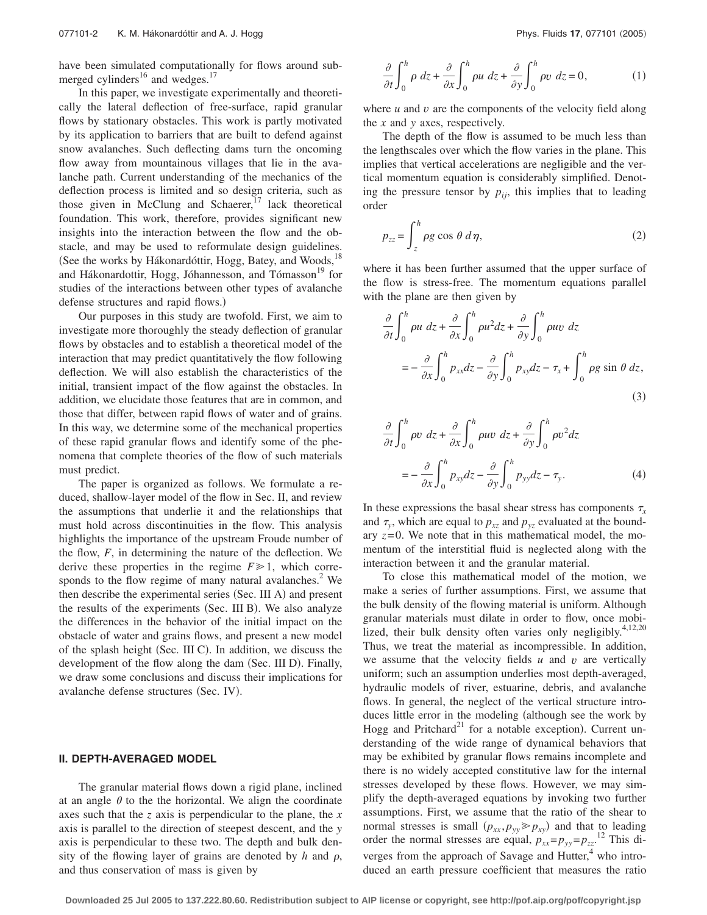have been simulated computationally for flows around submerged cylinders $^{16}$  and wedges.<sup>17</sup>

In this paper, we investigate experimentally and theoretically the lateral deflection of free-surface, rapid granular flows by stationary obstacles. This work is partly motivated by its application to barriers that are built to defend against snow avalanches. Such deflecting dams turn the oncoming flow away from mountainous villages that lie in the avalanche path. Current understanding of the mechanics of the deflection process is limited and so design criteria, such as those given in McClung and Schaerer, $17$  lack theoretical foundation. This work, therefore, provides significant new insights into the interaction between the flow and the obstacle, and may be used to reformulate design guidelines. (See the works by Hákonardóttir, Hogg, Batey, and Woods,<sup>18</sup> and Hákonardottir, Hogg, Jóhannesson, and Tómasson<sup>19</sup> for studies of the interactions between other types of avalanche defense structures and rapid flows.)

Our purposes in this study are twofold. First, we aim to investigate more thoroughly the steady deflection of granular flows by obstacles and to establish a theoretical model of the interaction that may predict quantitatively the flow following deflection. We will also establish the characteristics of the initial, transient impact of the flow against the obstacles. In addition, we elucidate those features that are in common, and those that differ, between rapid flows of water and of grains. In this way, we determine some of the mechanical properties of these rapid granular flows and identify some of the phenomena that complete theories of the flow of such materials must predict.

The paper is organized as follows. We formulate a reduced, shallow-layer model of the flow in Sec. II, and review the assumptions that underlie it and the relationships that must hold across discontinuities in the flow. This analysis highlights the importance of the upstream Froude number of the flow, *F*, in determining the nature of the deflection. We derive these properties in the regime  $F \ge 1$ , which corresponds to the flow regime of many natural avalanches.<sup>2</sup> We then describe the experimental series (Sec. III A) and present the results of the experiments (Sec. III B). We also analyze the differences in the behavior of the initial impact on the obstacle of water and grains flows, and present a new model of the splash height (Sec. III C). In addition, we discuss the development of the flow along the dam (Sec. III D). Finally, we draw some conclusions and discuss their implications for avalanche defense structures (Sec. IV).

## **II. DEPTH-AVERAGED MODEL**

The granular material flows down a rigid plane, inclined at an angle  $\theta$  to the the horizontal. We align the coordinate axes such that the *z* axis is perpendicular to the plane, the *x* axis is parallel to the direction of steepest descent, and the *y* axis is perpendicular to these two. The depth and bulk density of the flowing layer of grains are denoted by  $h$  and  $\rho$ , and thus conservation of mass is given by

$$
\frac{\partial}{\partial t} \int_0^h \rho \, dz + \frac{\partial}{\partial x} \int_0^h \rho u \, dz + \frac{\partial}{\partial y} \int_0^h \rho v \, dz = 0,\tag{1}
$$

where *u* and *v* are the components of the velocity field along the *x* and *y* axes, respectively.

The depth of the flow is assumed to be much less than the lengthscales over which the flow varies in the plane. This implies that vertical accelerations are negligible and the vertical momentum equation is considerably simplified. Denoting the pressure tensor by  $p_{ij}$ , this implies that to leading order

$$
p_{zz} = \int_{z}^{h} \rho g \cos \theta \, d\eta, \qquad (2)
$$

where it has been further assumed that the upper surface of the flow is stress-free. The momentum equations parallel with the plane are then given by

$$
\frac{\partial}{\partial t} \int_0^h \rho u \, dz + \frac{\partial}{\partial x} \int_0^h \rho u^2 dz + \frac{\partial}{\partial y} \int_0^h \rho u v \, dz
$$
\n
$$
= -\frac{\partial}{\partial x} \int_0^h p_{xx} dz - \frac{\partial}{\partial y} \int_0^h p_{xy} dz - \tau_x + \int_0^h \rho g \sin \theta \, dz,
$$
\n(3)

$$
\frac{\partial}{\partial t} \int_0^h \rho v \, dz + \frac{\partial}{\partial x} \int_0^h \rho u v \, dz + \frac{\partial}{\partial y} \int_0^h \rho v^2 dz
$$
\n
$$
= -\frac{\partial}{\partial x} \int_0^h p_{xy} dz - \frac{\partial}{\partial y} \int_0^h p_{yy} dz - \tau_y. \tag{4}
$$

In these expressions the basal shear stress has components  $\tau_x$ and  $\tau_v$ , which are equal to  $p_{xz}$  and  $p_{yz}$  evaluated at the boundary  $z=0$ . We note that in this mathematical model, the momentum of the interstitial fluid is neglected along with the interaction between it and the granular material.

To close this mathematical model of the motion, we make a series of further assumptions. First, we assume that the bulk density of the flowing material is uniform. Although granular materials must dilate in order to flow, once mobilized, their bulk density often varies only negligibly. $4,12,20$ Thus, we treat the material as incompressible. In addition, we assume that the velocity fields *u* and *v* are vertically uniform; such an assumption underlies most depth-averaged, hydraulic models of river, estuarine, debris, and avalanche flows. In general, the neglect of the vertical structure introduces little error in the modeling (although see the work by Hogg and Pritchard<sup>21</sup> for a notable exception). Current understanding of the wide range of dynamical behaviors that may be exhibited by granular flows remains incomplete and there is no widely accepted constitutive law for the internal stresses developed by these flows. However, we may simplify the depth-averaged equations by invoking two further assumptions. First, we assume that the ratio of the shear to normal stresses is small  $(p_{xx}, p_{yy} \geq p_{xy})$  and that to leading order the normal stresses are equal,  $p_{xx} = p_{yy} = p_{zz}$ .<sup>12</sup> This diverges from the approach of Savage and Hutter, $4\text{ who intro-}$ duced an earth pressure coefficient that measures the ratio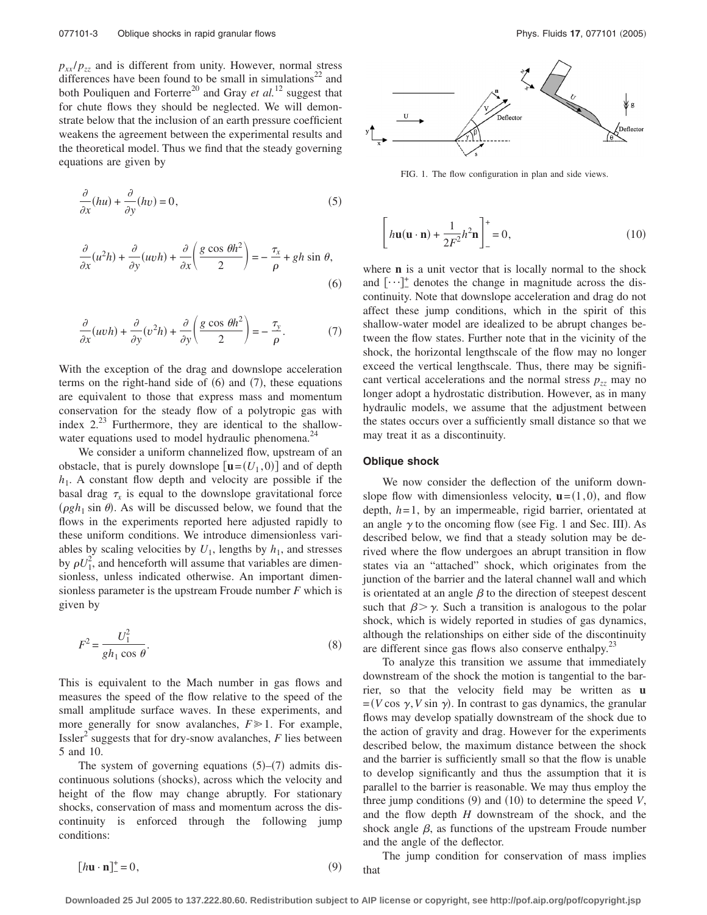$p_{xx}/p_{zz}$  and is different from unity. However, normal stress differences have been found to be small in simulations<sup>22</sup> and both Pouliquen and Forterre<sup>20</sup> and Gray *et al.*<sup>12</sup> suggest that for chute flows they should be neglected. We will demonstrate below that the inclusion of an earth pressure coefficient weakens the agreement between the experimental results and the theoretical model. Thus we find that the steady governing equations are given by

$$
\frac{\partial}{\partial x}(hu) + \frac{\partial}{\partial y}(hv) = 0,\tag{5}
$$

$$
\frac{\partial}{\partial x}(u^2h) + \frac{\partial}{\partial y}(uvh) + \frac{\partial}{\partial x}\left(\frac{g\cos\theta h^2}{2}\right) = -\frac{\tau_x}{\rho} + gh\sin\theta,
$$
\n(6)

$$
\frac{\partial}{\partial x}(uvh) + \frac{\partial}{\partial y}(v^2h) + \frac{\partial}{\partial y}\left(\frac{g\cos\theta h^2}{2}\right) = -\frac{\tau_y}{\rho}.
$$
 (7)

With the exception of the drag and downslope acceleration terms on the right-hand side of  $(6)$  and  $(7)$ , these equations are equivalent to those that express mass and momentum conservation for the steady flow of a polytropic gas with index  $2^{23}$  Furthermore, they are identical to the shallowwater equations used to model hydraulic phenomena.<sup>24</sup>

We consider a uniform channelized flow, upstream of an obstacle, that is purely downslope  $[\mathbf{u} = (U_1, 0)]$  and of depth  $h_1$ . A constant flow depth and velocity are possible if the basal drag  $\tau_x$  is equal to the downslope gravitational force  $(\rho g h_1 \sin \theta)$ . As will be discussed below, we found that the flows in the experiments reported here adjusted rapidly to these uniform conditions. We introduce dimensionless variables by scaling velocities by  $U_1$ , lengths by  $h_1$ , and stresses by  $\rho U_1^2$ , and henceforth will assume that variables are dimensionless, unless indicated otherwise. An important dimensionless parameter is the upstream Froude number *F* which is given by

$$
F^2 = \frac{U_1^2}{gh_1 \cos \theta}.\tag{8}
$$

This is equivalent to the Mach number in gas flows and measures the speed of the flow relative to the speed of the small amplitude surface waves. In these experiments, and more generally for snow avalanches,  $F \ge 1$ . For example, Issler<sup>2</sup> suggests that for dry-snow avalanches,  $F$  lies between 5 and 10.

The system of governing equations  $(5)-(7)$  admits discontinuous solutions (shocks), across which the velocity and height of the flow may change abruptly. For stationary shocks, conservation of mass and momentum across the discontinuity is enforced through the following jump conditions:



FIG. 1. The flow configuration in plan and side views.

$$
\left[ h\mathbf{u}(\mathbf{u}\cdot\mathbf{n}) + \frac{1}{2F^2}h^2\mathbf{n} \right]_+^+ = 0,
$$
\n(10)

where **n** is a unit vector that is locally normal to the shock and […]<sup>+</sup> denotes the change in magnitude across the discontinuity. Note that downslope acceleration and drag do not affect these jump conditions, which in the spirit of this shallow-water model are idealized to be abrupt changes between the flow states. Further note that in the vicinity of the shock, the horizontal lengthscale of the flow may no longer exceed the vertical lengthscale. Thus, there may be significant vertical accelerations and the normal stress  $p_{zz}$  may no longer adopt a hydrostatic distribution. However, as in many hydraulic models, we assume that the adjustment between the states occurs over a sufficiently small distance so that we may treat it as a discontinuity.

### **Oblique shock**

We now consider the deflection of the uniform downslope flow with dimensionless velocity,  $\mathbf{u} = (1,0)$ , and flow depth, *h*= 1, by an impermeable, rigid barrier, orientated at an angle  $\gamma$  to the oncoming flow (see Fig. 1 and Sec. III). As described below, we find that a steady solution may be derived where the flow undergoes an abrupt transition in flow states via an "attached" shock, which originates from the junction of the barrier and the lateral channel wall and which is orientated at an angle  $\beta$  to the direction of steepest descent such that  $\beta > \gamma$ . Such a transition is analogous to the polar shock, which is widely reported in studies of gas dynamics, although the relationships on either side of the discontinuity are different since gas flows also conserve enthalpy.<sup>23</sup>

To analyze this transition we assume that immediately downstream of the shock the motion is tangential to the barrier, so that the velocity field may be written as **u**  $=(V \cos \gamma, V \sin \gamma)$ . In contrast to gas dynamics, the granular flows may develop spatially downstream of the shock due to the action of gravity and drag. However for the experiments described below, the maximum distance between the shock and the barrier is sufficiently small so that the flow is unable to develop significantly and thus the assumption that it is parallel to the barrier is reasonable. We may thus employ the three jump conditions  $(9)$  and  $(10)$  to determine the speed *V*, and the flow depth *H* downstream of the shock, and the shock angle  $\beta$ , as functions of the upstream Froude number and the angle of the deflector.

The jump condition for conservation of mass implies that

$$
[h\mathbf{u}\cdot\mathbf{n}]_{-}^{+}=0,\t\t(9)
$$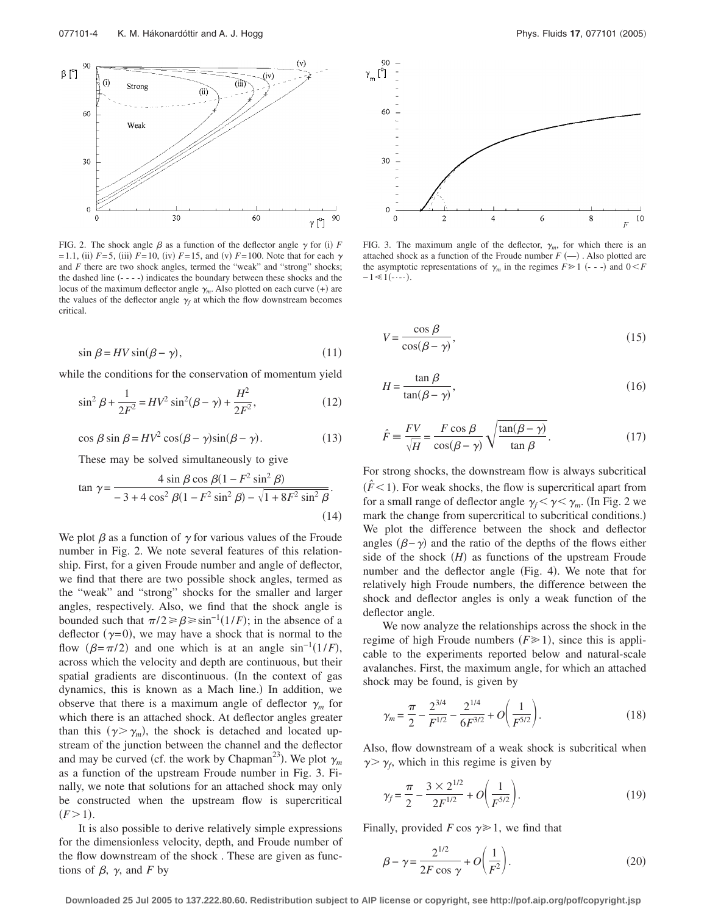

FIG. 2. The shock angle  $\beta$  as a function of the deflector angle  $\gamma$  for (i) F  $F = 1.1$ , (ii)  $F = 5$ , (iii)  $F = 10$ , (iv)  $F = 15$ , and (v)  $F = 100$ . Note that for each  $\gamma$ and *F* there are two shock angles, termed the "weak" and "strong" shocks; the dashed line (- - - -) indicates the boundary between these shocks and the locus of the maximum deflector angle  $\gamma_m$ . Also plotted on each curve  $(+)$  are the values of the deflector angle  $\gamma_f$  at which the flow downstream becomes critical.

$$
\sin \beta = HV \sin(\beta - \gamma),\tag{11}
$$

while the conditions for the conservation of momentum yield

$$
\sin^2 \beta + \frac{1}{2F^2} = HV^2 \sin^2(\beta - \gamma) + \frac{H^2}{2F^2},
$$
\n(12)

$$
\cos \beta \sin \beta = HV^2 \cos(\beta - \gamma)\sin(\beta - \gamma). \tag{13}
$$

These may be solved simultaneously to give

$$
\tan \gamma = \frac{4 \sin \beta \cos \beta (1 - F^2 \sin^2 \beta)}{-3 + 4 \cos^2 \beta (1 - F^2 \sin^2 \beta) - \sqrt{1 + 8F^2 \sin^2 \beta}}.
$$
\n(14)

We plot  $\beta$  as a function of  $\gamma$  for various values of the Froude number in Fig. 2. We note several features of this relationship. First, for a given Froude number and angle of deflector, we find that there are two possible shock angles, termed as the "weak" and "strong" shocks for the smaller and larger angles, respectively. Also, we find that the shock angle is bounded such that  $\pi/2 \ge \beta \ge \sin^{-1}(1/F)$ ; in the absence of a deflector  $(\gamma = 0)$ , we may have a shock that is normal to the flow  $(\beta = \pi/2)$  and one which is at an angle sin<sup>-1</sup>(1/*F*), across which the velocity and depth are continuous, but their spatial gradients are discontinuous. (In the context of gas dynamics, this is known as a Mach line.) In addition, we observe that there is a maximum angle of deflector  $\gamma_m$  for which there is an attached shock. At deflector angles greater than this  $(\gamma > \gamma_m)$ , the shock is detached and located upstream of the junction between the channel and the deflector and may be curved (cf. the work by Chapman<sup>23</sup>). We plot  $\gamma_m$ as a function of the upstream Froude number in Fig. 3. Finally, we note that solutions for an attached shock may only be constructed when the upstream flow is supercritical  $(F > 1)$ .

It is also possible to derive relatively simple expressions for the dimensionless velocity, depth, and Froude number of the flow downstream of the shock . These are given as functions of  $\beta$ ,  $\gamma$ , and *F* by



FIG. 3. The maximum angle of the deflector,  $\gamma_m$ , for which there is an attached shock as a function of the Froude number  $F(-)$ . Also plotted are the asymptotic representations of  $\gamma_m$  in the regimes  $F \ge 1$  (---) and  $0 \le F$  $-1 \ll 1$ (- $\cdots$ ).

$$
V = \frac{\cos \beta}{\cos(\beta - \gamma)},\tag{15}
$$

$$
H = \frac{\tan \beta}{\tan(\beta - \gamma)},\tag{16}
$$

$$
\hat{F} = \frac{FV}{\sqrt{H}} = \frac{F\cos\beta}{\cos(\beta - \gamma)} \sqrt{\frac{\tan(\beta - \gamma)}{\tan\beta}}.
$$
\n(17)

For strong shocks, the downstream flow is always subcritical  $(\hat{F}$  < 1). For weak shocks, the flow is supercritical apart from for a small range of deflector angle  $\gamma_f < \gamma < \gamma_m$ . (In Fig. 2 we mark the change from supercritical to subcritical conditions.) We plot the difference between the shock and deflector angles  $(\beta - \gamma)$  and the ratio of the depths of the flows either side of the shock  $(H)$  as functions of the upstream Froude number and the deflector angle (Fig. 4). We note that for relatively high Froude numbers, the difference between the shock and deflector angles is only a weak function of the deflector angle.

We now analyze the relationships across the shock in the regime of high Froude numbers  $(F \ge 1)$ , since this is applicable to the experiments reported below and natural-scale avalanches. First, the maximum angle, for which an attached shock may be found, is given by

$$
\gamma_m = \frac{\pi}{2} - \frac{2^{3/4}}{F^{1/2}} - \frac{2^{1/4}}{6F^{3/2}} + O\left(\frac{1}{F^{5/2}}\right). \tag{18}
$$

Also, flow downstream of a weak shock is subcritical when  $\gamma$   $\gamma_f$ , which in this regime is given by

$$
\gamma_f = \frac{\pi}{2} - \frac{3 \times 2^{1/2}}{2F^{1/2}} + O\left(\frac{1}{F^{5/2}}\right). \tag{19}
$$

Finally, provided *F* cos  $\gamma \geq 1$ , we find that

$$
\beta - \gamma = \frac{2^{1/2}}{2F \cos \gamma} + O\left(\frac{1}{F^2}\right).
$$
 (20)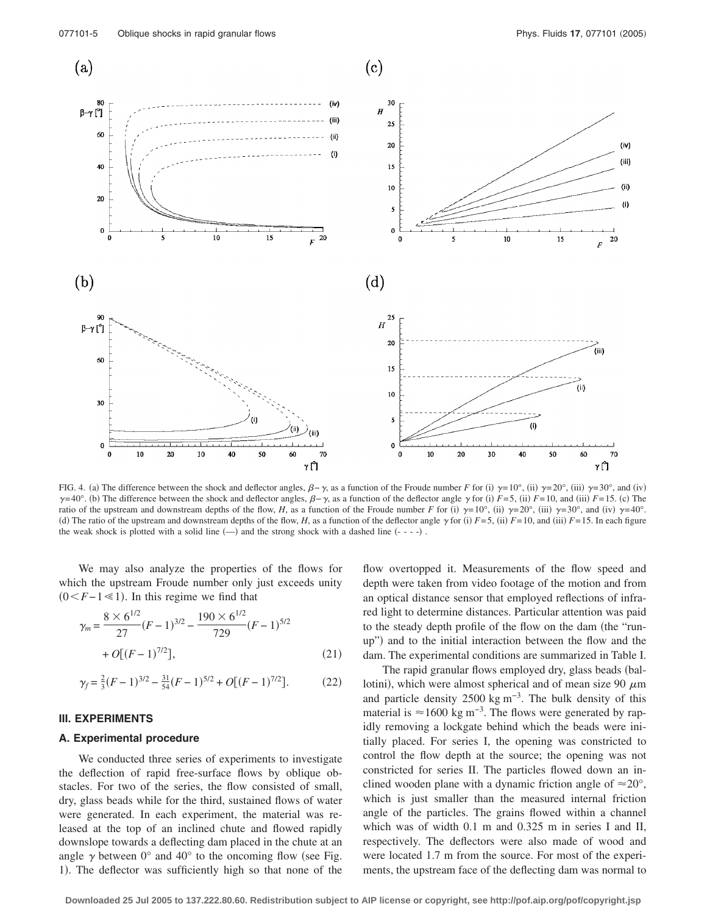

FIG. 4. (a) The difference between the shock and deflector angles,  $\beta - \gamma$ , as a function of the Froude number *F* for (i)  $\gamma = 10^{\circ}$ , (ii)  $\gamma = 20^{\circ}$ , (iii)  $\gamma = 30^{\circ}$ , and (iv)  $\gamma = 40^\circ$ . (b) The difference between the shock and deflector angles,  $\beta - \gamma$ , as a function of the deflector angle  $\gamma$  for (i)  $F=5$ , (ii)  $F=10$ , and (iii)  $F=15$ . (c) The ratio of the upstream and downstream depths of the flow, *H*, as a function of the Froude number *F* for (i)  $\gamma=10^{\circ}$ , (ii)  $\gamma=20^{\circ}$ , (iii)  $\gamma=30^{\circ}$ , and (iv)  $\gamma=40^{\circ}$ . (d) The ratio of the upstream and downstream depths of the flow, *H*, as a function of the deflector angle  $\gamma$  for (i)  $F=5$ , (ii)  $F=10$ , and (iii)  $F=15$ . In each figure the weak shock is plotted with a solid line  $(-)$  and the strong shock with a dashed line  $(- - -)$ .

We may also analyze the properties of the flows for which the upstream Froude number only just exceeds unity  $(0 < F-1 \le 1)$ . In this regime we find that

$$
\gamma_m = \frac{8 \times 6^{1/2}}{27} (F - 1)^{3/2} - \frac{190 \times 6^{1/2}}{729} (F - 1)^{5/2}
$$
  
+  $O[(F - 1)^{7/2}],$  (21)

$$
\gamma_f = \frac{2}{3}(F-1)^{3/2} - \frac{31}{54}(F-1)^{5/2} + O[(F-1)^{7/2}].
$$
 (22)

### **III. EXPERIMENTS**

## **A. Experimental procedure**

We conducted three series of experiments to investigate the deflection of rapid free-surface flows by oblique obstacles. For two of the series, the flow consisted of small, dry, glass beads while for the third, sustained flows of water were generated. In each experiment, the material was released at the top of an inclined chute and flowed rapidly downslope towards a deflecting dam placed in the chute at an angle  $\gamma$  between 0° and 40° to the oncoming flow (see Fig. 1). The deflector was sufficiently high so that none of the

flow overtopped it. Measurements of the flow speed and depth were taken from video footage of the motion and from an optical distance sensor that employed reflections of infrared light to determine distances. Particular attention was paid to the steady depth profile of the flow on the dam (the "runup") and to the initial interaction between the flow and the dam. The experimental conditions are summarized in Table I.

The rapid granular flows employed dry, glass beads (ballotini), which were almost spherical and of mean size 90  $\mu$ m and particle density 2500 kg m<sup>-3</sup>. The bulk density of this material is  $\approx$ 1600 kg m<sup>-3</sup>. The flows were generated by rapidly removing a lockgate behind which the beads were initially placed. For series I, the opening was constricted to control the flow depth at the source; the opening was not constricted for series II. The particles flowed down an inclined wooden plane with a dynamic friction angle of  $\approx 20^{\circ}$ , which is just smaller than the measured internal friction angle of the particles. The grains flowed within a channel which was of width 0.1 m and 0.325 m in series I and II, respectively. The deflectors were also made of wood and were located 1.7 m from the source. For most of the experiments, the upstream face of the deflecting dam was normal to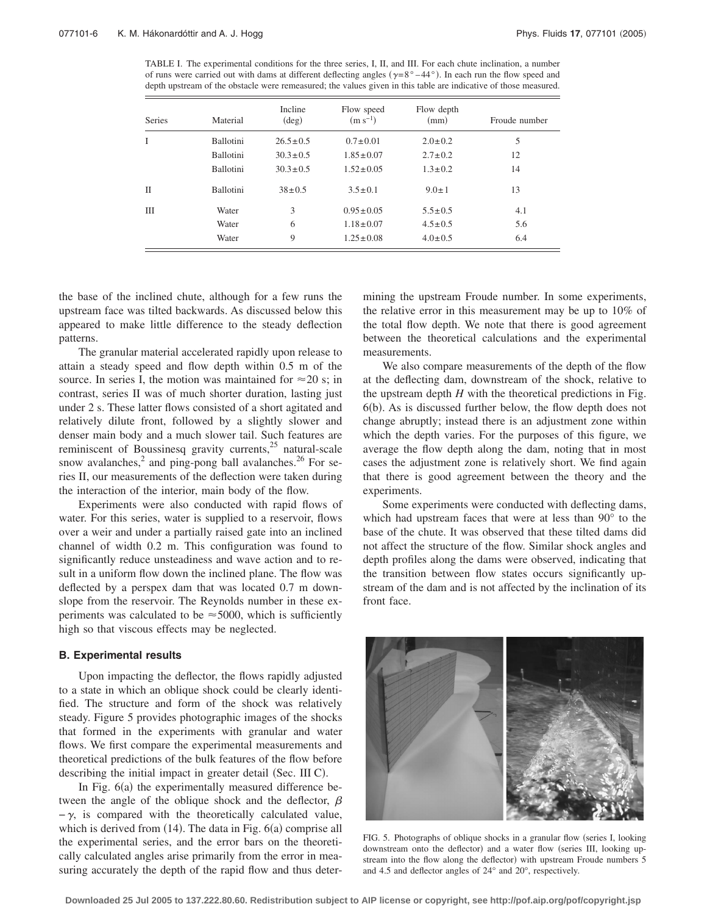TABLE I. The experimental conditions for the three series, I, II, and III. For each chute inclination, a number of runs were carried out with dams at different deflecting angles  $(\gamma = 8^\circ - 44^\circ)$ . In each run the flow speed and depth upstream of the obstacle were remeasured; the values given in this table are indicative of those measured.

| <b>Series</b> | Material         | Incline<br>$(\text{deg})$ | Flow speed<br>$(m s^{-1})$ | Flow depth<br>(mm) | Froude number |
|---------------|------------------|---------------------------|----------------------------|--------------------|---------------|
| I             | <b>Ballotini</b> | $26.5 \pm 0.5$            | $0.7 \pm 0.01$             | $2.0 \pm 0.2$      | 5             |
|               | <b>Ballotini</b> | $30.3 \pm 0.5$            | $1.85 \pm 0.07$            | $2.7 \pm 0.2$      | 12            |
|               | <b>Ballotini</b> | $30.3 \pm 0.5$            | $1.52 \pm 0.05$            | $1.3 \pm 0.2$      | 14            |
| $_{\rm II}$   | <b>Ballotini</b> | $38 \pm 0.5$              | $3.5 \pm 0.1$              | $9.0 \pm 1$        | 13            |
| Ш             | Water            | 3                         | $0.95 \pm 0.05$            | $5.5 \pm 0.5$      | 4.1           |
|               | Water            | 6                         | $1.18 \pm 0.07$            | $4.5 \pm 0.5$      | 5.6           |
|               | Water            | 9                         | $1.25 \pm 0.08$            | $4.0 \pm 0.5$      | 6.4           |

the base of the inclined chute, although for a few runs the upstream face was tilted backwards. As discussed below this appeared to make little difference to the steady deflection patterns.

The granular material accelerated rapidly upon release to attain a steady speed and flow depth within 0.5 m of the source. In series I, the motion was maintained for  $\approx$  20 s; in contrast, series II was of much shorter duration, lasting just under 2 s. These latter flows consisted of a short agitated and relatively dilute front, followed by a slightly slower and denser main body and a much slower tail. Such features are reminiscent of Boussinesq gravity currents, $25$  natural-scale snow avalanches, $^2$  and ping-pong ball avalanches.<sup>26</sup> For series II, our measurements of the deflection were taken during the interaction of the interior, main body of the flow.

Experiments were also conducted with rapid flows of water. For this series, water is supplied to a reservoir, flows over a weir and under a partially raised gate into an inclined channel of width 0.2 m. This configuration was found to significantly reduce unsteadiness and wave action and to result in a uniform flow down the inclined plane. The flow was deflected by a perspex dam that was located 0.7 m downslope from the reservoir. The Reynolds number in these experiments was calculated to be  $\approx$  5000, which is sufficiently high so that viscous effects may be neglected.

## **B. Experimental results**

Upon impacting the deflector, the flows rapidly adjusted to a state in which an oblique shock could be clearly identified. The structure and form of the shock was relatively steady. Figure 5 provides photographic images of the shocks that formed in the experiments with granular and water flows. We first compare the experimental measurements and theoretical predictions of the bulk features of the flow before describing the initial impact in greater detail (Sec. III C).

In Fig. 6(a) the experimentally measured difference between the angle of the oblique shock and the deflector,  $\beta$  $-\gamma$ , is compared with the theoretically calculated value, which is derived from  $(14)$ . The data in Fig.  $6(a)$  comprise all the experimental series, and the error bars on the theoretically calculated angles arise primarily from the error in measuring accurately the depth of the rapid flow and thus determining the upstream Froude number. In some experiments, the relative error in this measurement may be up to 10% of the total flow depth. We note that there is good agreement between the theoretical calculations and the experimental measurements.

We also compare measurements of the depth of the flow at the deflecting dam, downstream of the shock, relative to the upstream depth *H* with the theoretical predictions in Fig. 6(b). As is discussed further below, the flow depth does not change abruptly; instead there is an adjustment zone within which the depth varies. For the purposes of this figure, we average the flow depth along the dam, noting that in most cases the adjustment zone is relatively short. We find again that there is good agreement between the theory and the experiments.

Some experiments were conducted with deflecting dams, which had upstream faces that were at less than 90° to the base of the chute. It was observed that these tilted dams did not affect the structure of the flow. Similar shock angles and depth profiles along the dams were observed, indicating that the transition between flow states occurs significantly upstream of the dam and is not affected by the inclination of its front face.



FIG. 5. Photographs of oblique shocks in a granular flow (series I, looking downstream onto the deflector) and a water flow (series III, looking upstream into the flow along the deflector) with upstream Froude numbers 5 and 4.5 and deflector angles of 24° and 20°, respectively.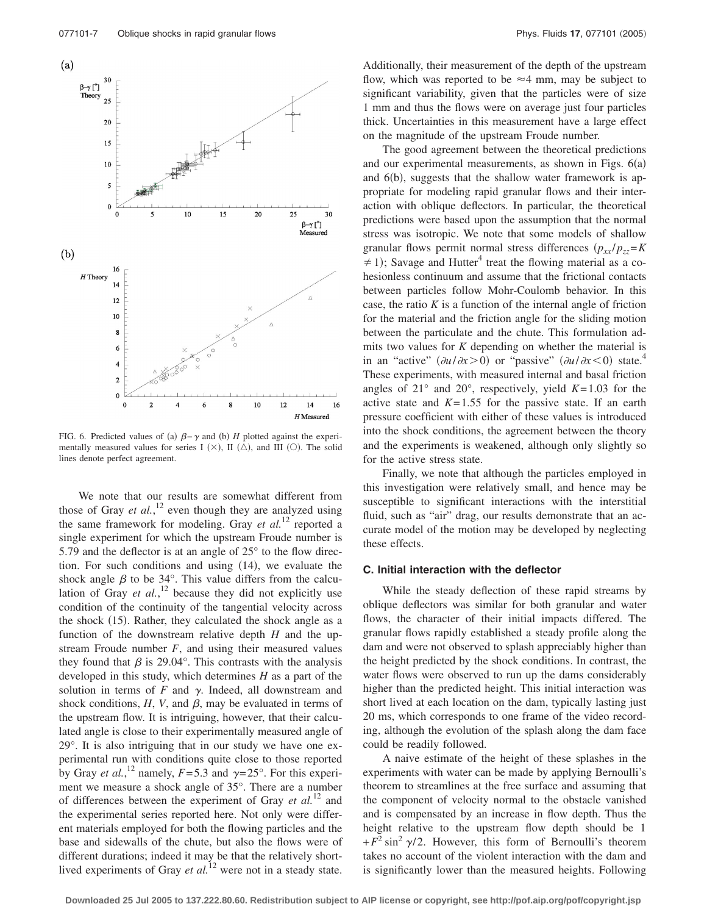

FIG. 6. Predicted values of (a)  $\beta-\gamma$  and (b) *H* plotted against the experimentally measured values for series I  $(X)$ , II  $(\triangle)$ , and III  $(\bigcirc)$ . The solid lines denote perfect agreement.

We note that our results are somewhat different from those of Gray *et al.*, <sup>12</sup> even though they are analyzed using the same framework for modeling. Gray *et al.*<sup>12</sup> reported a single experiment for which the upstream Froude number is 5.79 and the deflector is at an angle of 25° to the flow direction. For such conditions and using  $(14)$ , we evaluate the shock angle  $\beta$  to be 34°. This value differs from the calculation of Gray  $et$   $al$ ,<sup>12</sup> because they did not explicitly use condition of the continuity of the tangential velocity across the shock (15). Rather, they calculated the shock angle as a function of the downstream relative depth *H* and the upstream Froude number  $F$ , and using their measured values they found that  $\beta$  is 29.04°. This contrasts with the analysis developed in this study, which determines *H* as a part of the solution in terms of  $F$  and  $\gamma$ . Indeed, all downstream and shock conditions,  $H$ ,  $V$ , and  $\beta$ , may be evaluated in terms of the upstream flow. It is intriguing, however, that their calculated angle is close to their experimentally measured angle of 29°. It is also intriguing that in our study we have one experimental run with conditions quite close to those reported by Gray *et al.*,<sup>12</sup> namely,  $F=5.3$  and  $\gamma=25^{\circ}$ . For this experiment we measure a shock angle of 35°. There are a number of differences between the experiment of Gray *et al.*<sup>12</sup> and the experimental series reported here. Not only were different materials employed for both the flowing particles and the base and sidewalls of the chute, but also the flows were of different durations; indeed it may be that the relatively shortlived experiments of Gray *et al.*<sup>12</sup> were not in a steady state. Additionally, their measurement of the depth of the upstream flow, which was reported to be  $\approx$  4 mm, may be subject to significant variability, given that the particles were of size 1 mm and thus the flows were on average just four particles thick. Uncertainties in this measurement have a large effect on the magnitude of the upstream Froude number.

The good agreement between the theoretical predictions and our experimental measurements, as shown in Figs.  $6(a)$ and 6(b), suggests that the shallow water framework is appropriate for modeling rapid granular flows and their interaction with oblique deflectors. In particular, the theoretical predictions were based upon the assumption that the normal stress was isotropic. We note that some models of shallow granular flows permit normal stress differences  $(p_{xx}/p_{zz} = K)$  $\neq$  1); Savage and Hutter<sup>4</sup> treat the flowing material as a cohesionless continuum and assume that the frictional contacts between particles follow Mohr-Coulomb behavior. In this case, the ratio  $K$  is a function of the internal angle of friction for the material and the friction angle for the sliding motion between the particulate and the chute. This formulation admits two values for *K* depending on whether the material is in an "active"  $(\partial u/\partial x > 0)$  or "passive"  $(\partial u/\partial x < 0)$  state.<sup>4</sup> These experiments, with measured internal and basal friction angles of  $21^\circ$  and  $20^\circ$ , respectively, yield  $K=1.03$  for the active state and  $K=1.55$  for the passive state. If an earth pressure coefficient with either of these values is introduced into the shock conditions, the agreement between the theory and the experiments is weakened, although only slightly so for the active stress state.

Finally, we note that although the particles employed in this investigation were relatively small, and hence may be susceptible to significant interactions with the interstitial fluid, such as "air" drag, our results demonstrate that an accurate model of the motion may be developed by neglecting these effects.

#### **C. Initial interaction with the deflector**

While the steady deflection of these rapid streams by oblique deflectors was similar for both granular and water flows, the character of their initial impacts differed. The granular flows rapidly established a steady profile along the dam and were not observed to splash appreciably higher than the height predicted by the shock conditions. In contrast, the water flows were observed to run up the dams considerably higher than the predicted height. This initial interaction was short lived at each location on the dam, typically lasting just 20 ms, which corresponds to one frame of the video recording, although the evolution of the splash along the dam face could be readily followed.

A naive estimate of the height of these splashes in the experiments with water can be made by applying Bernoulli's theorem to streamlines at the free surface and assuming that the component of velocity normal to the obstacle vanished and is compensated by an increase in flow depth. Thus the height relative to the upstream flow depth should be 1  $+F^2 \sin^2 \gamma/2$ . However, this form of Bernoulli's theorem takes no account of the violent interaction with the dam and is significantly lower than the measured heights. Following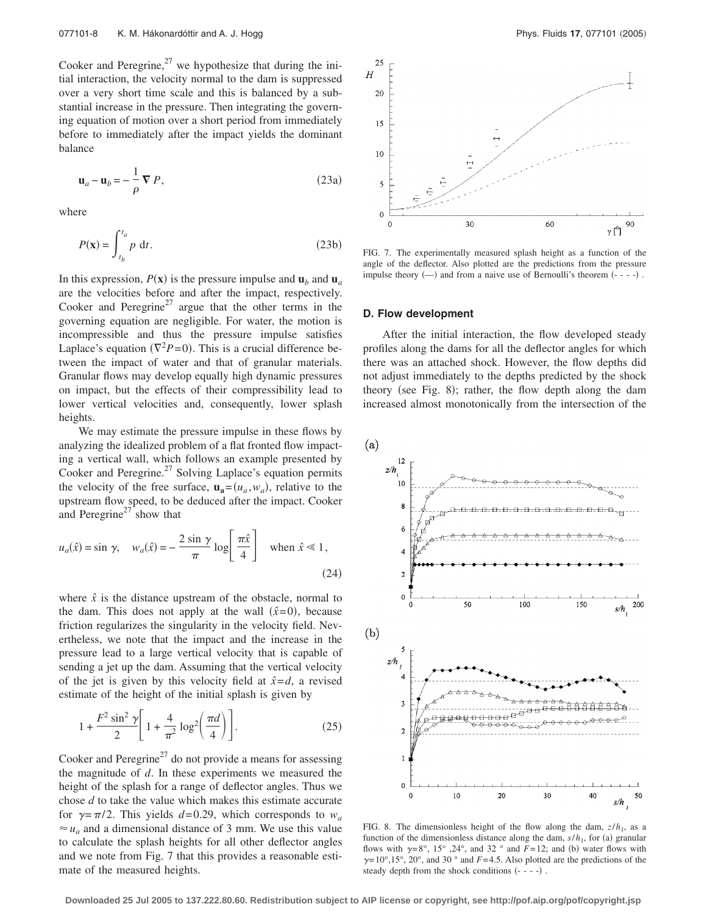Cooker and Peregrine, $^{27}$  we hypothesize that during the initial interaction, the velocity normal to the dam is suppressed over a very short time scale and this is balanced by a substantial increase in the pressure. Then integrating the governing equation of motion over a short period from immediately before to immediately after the impact yields the dominant balance

$$
\mathbf{u}_a - \mathbf{u}_b = -\frac{1}{\rho} \nabla P, \qquad (23a)
$$

where

$$
P(\mathbf{x}) = \int_{t_b}^{t_a} p \, \mathrm{d}t. \tag{23b}
$$

In this expression,  $P(\mathbf{x})$  is the pressure impulse and  $\mathbf{u}_b$  and  $\mathbf{u}_a$ are the velocities before and after the impact, respectively. Cooker and Peregrine<sup>27</sup> argue that the other terms in the governing equation are negligible. For water, the motion is incompressible and thus the pressure impulse satisfies Laplace's equation  $(\nabla^2 P = 0)$ . This is a crucial difference between the impact of water and that of granular materials. Granular flows may develop equally high dynamic pressures on impact, but the effects of their compressibility lead to lower vertical velocities and, consequently, lower splash heights.

We may estimate the pressure impulse in these flows by analyzing the idealized problem of a flat fronted flow impacting a vertical wall, which follows an example presented by Cooker and Peregrine. $^{27}$  Solving Laplace's equation permits the velocity of the free surface,  $\mathbf{u}_a = (u_a, w_a)$ , relative to the upstream flow speed, to be deduced after the impact. Cooker and Peregrine<sup>27</sup> show that

$$
u_a(\hat{x}) = \sin \gamma, \quad w_a(\hat{x}) = -\frac{2 \sin \gamma}{\pi} \log \left[ \frac{\pi \hat{x}}{4} \right] \quad \text{when } \hat{x} \ll 1,
$$
\n(24)

where  $\hat{x}$  is the distance upstream of the obstacle, normal to the dam. This does not apply at the wall  $(\hat{x}=0)$ , because friction regularizes the singularity in the velocity field. Nevertheless, we note that the impact and the increase in the pressure lead to a large vertical velocity that is capable of sending a jet up the dam. Assuming that the vertical velocity of the jet is given by this velocity field at  $\hat{x} = d$ , a revised estimate of the height of the initial splash is given by

$$
1 + \frac{F^2 \sin^2 \gamma}{2} \left[ 1 + \frac{4}{\pi^2} \log^2 \left( \frac{\pi d}{4} \right) \right].
$$
 (25)

Cooker and Peregrine<sup>27</sup> do not provide a means for assessing the magnitude of *d*. In these experiments we measured the height of the splash for a range of deflector angles. Thus we chose *d* to take the value which makes this estimate accurate for  $\gamma = \pi/2$ . This yields  $d = 0.29$ , which corresponds to  $w_a$  $\approx u_a$  and a dimensional distance of 3 mm. We use this value to calculate the splash heights for all other deflector angles and we note from Fig. 7 that this provides a reasonable estimate of the measured heights.



FIG. 7. The experimentally measured splash height as a function of the angle of the deflector. Also plotted are the predictions from the pressure impulse theory  $(-)$  and from a naive use of Bernoulli's theorem  $(- - -)$ .

### **D. Flow development**

After the initial interaction, the flow developed steady profiles along the dams for all the deflector angles for which there was an attached shock. However, the flow depths did not adjust immediately to the depths predicted by the shock theory (see Fig. 8); rather, the flow depth along the dam increased almost monotonically from the intersection of the

 $(a)$ 



FIG. 8. The dimensionless height of the flow along the dam,  $z/h_1$ , as a function of the dimensionless distance along the dam,  $s/h_1$ , for (a) granular flows with  $\gamma = 8^{\circ}$ , 15°, 24°, and 32° and *F* = 12; and (b) water flows with  $\gamma = 10^{\circ}, 15^{\circ}, 20^{\circ}$ , and 30 ° and *F* = 4.5. Also plotted are the predictions of the steady depth from the shock conditions  $(- - -)$ .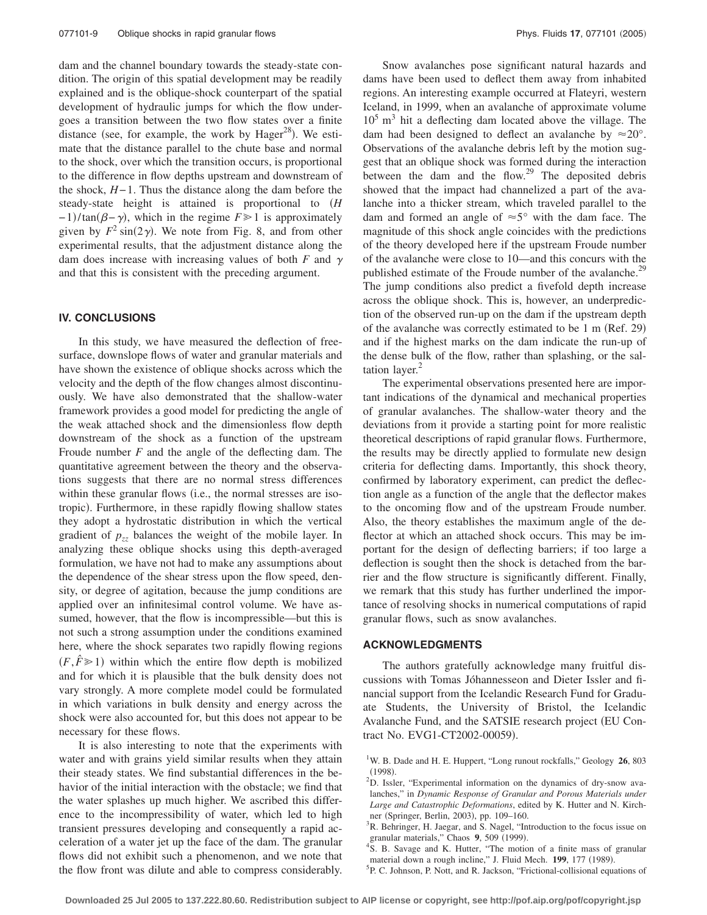dam and the channel boundary towards the steady-state condition. The origin of this spatial development may be readily explained and is the oblique-shock counterpart of the spatial development of hydraulic jumps for which the flow undergoes a transition between the two flow states over a finite distance (see, for example, the work by  $Hager^{28}$ ). We estimate that the distance parallel to the chute base and normal to the shock, over which the transition occurs, is proportional to the difference in flow depths upstream and downstream of the shock, *H*− 1. Thus the distance along the dam before the steady-state height is attained is proportional to *H*  $-1$ /tan( $\beta-\gamma$ ), which in the regime  $F \ge 1$  is approximately given by  $F^2 \sin(2\gamma)$ . We note from Fig. 8, and from other experimental results, that the adjustment distance along the dam does increase with increasing values of both  $F$  and  $\gamma$ and that this is consistent with the preceding argument.

## **IV. CONCLUSIONS**

In this study, we have measured the deflection of freesurface, downslope flows of water and granular materials and have shown the existence of oblique shocks across which the velocity and the depth of the flow changes almost discontinuously. We have also demonstrated that the shallow-water framework provides a good model for predicting the angle of the weak attached shock and the dimensionless flow depth downstream of the shock as a function of the upstream Froude number *F* and the angle of the deflecting dam. The quantitative agreement between the theory and the observations suggests that there are no normal stress differences within these granular flows (i.e., the normal stresses are isotropic). Furthermore, in these rapidly flowing shallow states they adopt a hydrostatic distribution in which the vertical gradient of  $p_{zz}$  balances the weight of the mobile layer. In analyzing these oblique shocks using this depth-averaged formulation, we have not had to make any assumptions about the dependence of the shear stress upon the flow speed, density, or degree of agitation, because the jump conditions are applied over an infinitesimal control volume. We have assumed, however, that the flow is incompressible—but this is not such a strong assumption under the conditions examined here, where the shock separates two rapidly flowing regions  $(F, \hat{F} \ge 1)$  within which the entire flow depth is mobilized and for which it is plausible that the bulk density does not vary strongly. A more complete model could be formulated in which variations in bulk density and energy across the shock were also accounted for, but this does not appear to be necessary for these flows.

It is also interesting to note that the experiments with water and with grains yield similar results when they attain their steady states. We find substantial differences in the behavior of the initial interaction with the obstacle; we find that the water splashes up much higher. We ascribed this difference to the incompressibility of water, which led to high transient pressures developing and consequently a rapid acceleration of a water jet up the face of the dam. The granular flows did not exhibit such a phenomenon, and we note that the flow front was dilute and able to compress considerably.

Snow avalanches pose significant natural hazards and dams have been used to deflect them away from inhabited regions. An interesting example occurred at Flateyri, western Iceland, in 1999, when an avalanche of approximate volume  $10<sup>5</sup>$  m<sup>3</sup> hit a deflecting dam located above the village. The dam had been designed to deflect an avalanche by  $\approx 20^{\circ}$ . Observations of the avalanche debris left by the motion suggest that an oblique shock was formed during the interaction between the dam and the flow. $29$  The deposited debris showed that the impact had channelized a part of the avalanche into a thicker stream, which traveled parallel to the dam and formed an angle of  $\approx 5^{\circ}$  with the dam face. The magnitude of this shock angle coincides with the predictions of the theory developed here if the upstream Froude number of the avalanche were close to 10—and this concurs with the published estimate of the Froude number of the avalanche.<sup>29</sup> The jump conditions also predict a fivefold depth increase across the oblique shock. This is, however, an underprediction of the observed run-up on the dam if the upstream depth of the avalanche was correctly estimated to be 1 m (Ref. 29) and if the highest marks on the dam indicate the run-up of the dense bulk of the flow, rather than splashing, or the saltation layer. $2$ 

The experimental observations presented here are important indications of the dynamical and mechanical properties of granular avalanches. The shallow-water theory and the deviations from it provide a starting point for more realistic theoretical descriptions of rapid granular flows. Furthermore, the results may be directly applied to formulate new design criteria for deflecting dams. Importantly, this shock theory, confirmed by laboratory experiment, can predict the deflection angle as a function of the angle that the deflector makes to the oncoming flow and of the upstream Froude number. Also, the theory establishes the maximum angle of the deflector at which an attached shock occurs. This may be important for the design of deflecting barriers; if too large a deflection is sought then the shock is detached from the barrier and the flow structure is significantly different. Finally, we remark that this study has further underlined the importance of resolving shocks in numerical computations of rapid granular flows, such as snow avalanches.

## **ACKNOWLEDGMENTS**

The authors gratefully acknowledge many fruitful discussions with Tomas Jóhannesseon and Dieter Issler and financial support from the Icelandic Research Fund for Graduate Students, the University of Bristol, the Icelandic Avalanche Fund, and the SATSIE research project (EU Contract No. EVG1-CT2002-00059).

<sup>&</sup>lt;sup>1</sup>W. B. Dade and H. E. Huppert, "Long runout rockfalls," Geology 26, 803  $(1998)$ . <sup>2</sup> D. Issler, "Experimental information on the dynamics of dry-snow ava-

lanches," in *Dynamic Response of Granular and Porous Materials under Large and Catastrophic Deformations*, edited by K. Hutter and N. Kirchner (Springer, Berlin, 2003), pp. 109–160.<br><sup>3</sup> B. Bobringer, H. Jacor, and S. Nagol. "In

 $R^3R$ . Behringer, H. Jaegar, and S. Nagel, "Introduction to the focus issue on granular materials," Chaos  $\frac{9}{2}$ , 509 (1999).

<sup>&</sup>lt;sup>4</sup>S. B. Savage and K. Hutter, "The motion of a finite mass of granular material down a rough incline," J. Fluid Mech. **199**, 177 (1989).<br><sup>5</sup> B.C. Johnson, B. Nott, and B. Jackson, "Fristianal collisional cause

<sup>&</sup>lt;sup>5</sup>P. C. Johnson, P. Nott, and R. Jackson, "Frictional-collisional equations of